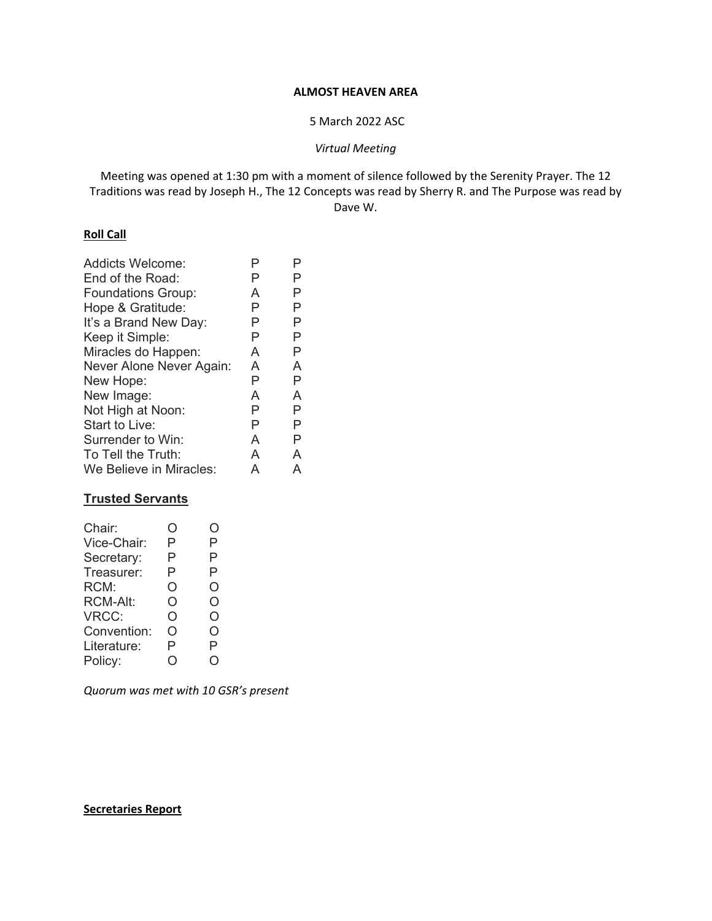#### **ALMOST HEAVEN AREA**

# 5 March 2022 ASC

*Virtual Meeting* 

Meeting was opened at 1:30 pm with a moment of silence followed by the Serenity Prayer. The 12 Traditions was read by Joseph H., The 12 Concepts was read by Sherry R. and The Purpose was read by Dave W.

# **Roll Call**

| <b>Addicts Welcome:</b>   | P | P |
|---------------------------|---|---|
| End of the Road:          | P | P |
| <b>Foundations Group:</b> | A | Р |
| Hope & Gratitude:         | Р | Р |
| It's a Brand New Day:     | Ρ | Р |
| Keep it Simple:           | Ρ | Р |
| Miracles do Happen:       | A | Р |
| Never Alone Never Again:  | A | A |
| New Hope:                 | Ρ | Р |
| New Image:                | A | A |
| Not High at Noon:         | Р | Р |
| Start to Live:            | P | Р |
| Surrender to Win:         | A | Р |
| To Tell the Truth:        | A | A |
| We Believe in Miracles:   | А | A |
|                           |   |   |

# **Trusted Servants**

| Chair:          | . ) | . ) |
|-----------------|-----|-----|
| Vice-Chair:     | Р   | Ρ   |
| Secretary:      | Р   | P   |
| Treasurer:      | Р   | P   |
| RCM:            | Ο   | O   |
| <b>RCM-Alt:</b> | O   | O   |
| VRCC:           | O   | O   |
| Convention:     | റ   | Ω   |
| Literature:     | P   | P   |
| Policy:         |     |     |
|                 |     |     |

*Quorum was met with 10 GSR's present* 

#### **Secretaries Report**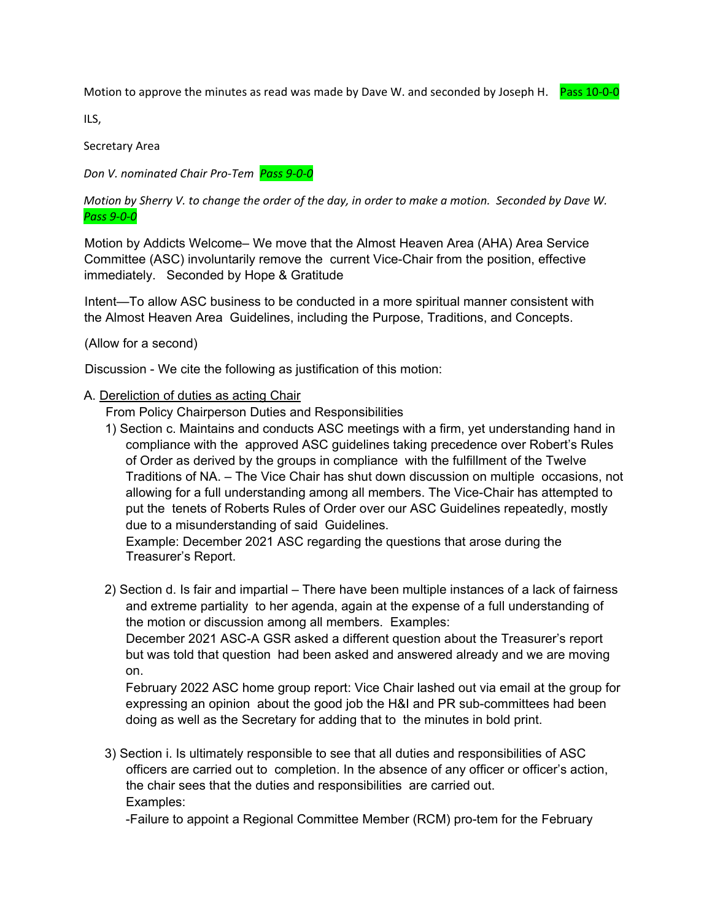Motion to approve the minutes as read was made by Dave W. and seconded by Joseph H. Pass 10-0-0



ILS,

Secretary Area

*Don V. nominated Chair Pro‐Tem Pass 9‐0‐0* 

*Motion by Sherry V. to change the order of the day, in order to make a motion. Seconded by Dave W. Pass 9‐0‐0* 

Motion by Addicts Welcome– We move that the Almost Heaven Area (AHA) Area Service Committee (ASC) involuntarily remove the current Vice-Chair from the position, effective immediately. Seconded by Hope & Gratitude

Intent—To allow ASC business to be conducted in a more spiritual manner consistent with the Almost Heaven Area Guidelines, including the Purpose, Traditions, and Concepts.

(Allow for a second)

Discussion - We cite the following as justification of this motion:

# A. Dereliction of duties as acting Chair

From Policy Chairperson Duties and Responsibilities

1) Section c. Maintains and conducts ASC meetings with a firm, yet understanding hand in compliance with the approved ASC guidelines taking precedence over Robert's Rules of Order as derived by the groups in compliance with the fulfillment of the Twelve Traditions of NA. – The Vice Chair has shut down discussion on multiple occasions, not allowing for a full understanding among all members. The Vice-Chair has attempted to put the tenets of Roberts Rules of Order over our ASC Guidelines repeatedly, mostly due to a misunderstanding of said Guidelines.

Example: December 2021 ASC regarding the questions that arose during the Treasurer's Report.

2) Section d. Is fair and impartial – There have been multiple instances of a lack of fairness and extreme partiality to her agenda, again at the expense of a full understanding of the motion or discussion among all members. Examples:

December 2021 ASC-A GSR asked a different question about the Treasurer's report but was told that question had been asked and answered already and we are moving on.

February 2022 ASC home group report: Vice Chair lashed out via email at the group for expressing an opinion about the good job the H&I and PR sub-committees had been doing as well as the Secretary for adding that to the minutes in bold print.

3) Section i. Is ultimately responsible to see that all duties and responsibilities of ASC officers are carried out to completion. In the absence of any officer or officer's action, the chair sees that the duties and responsibilities are carried out. Examples:

-Failure to appoint a Regional Committee Member (RCM) pro-tem for the February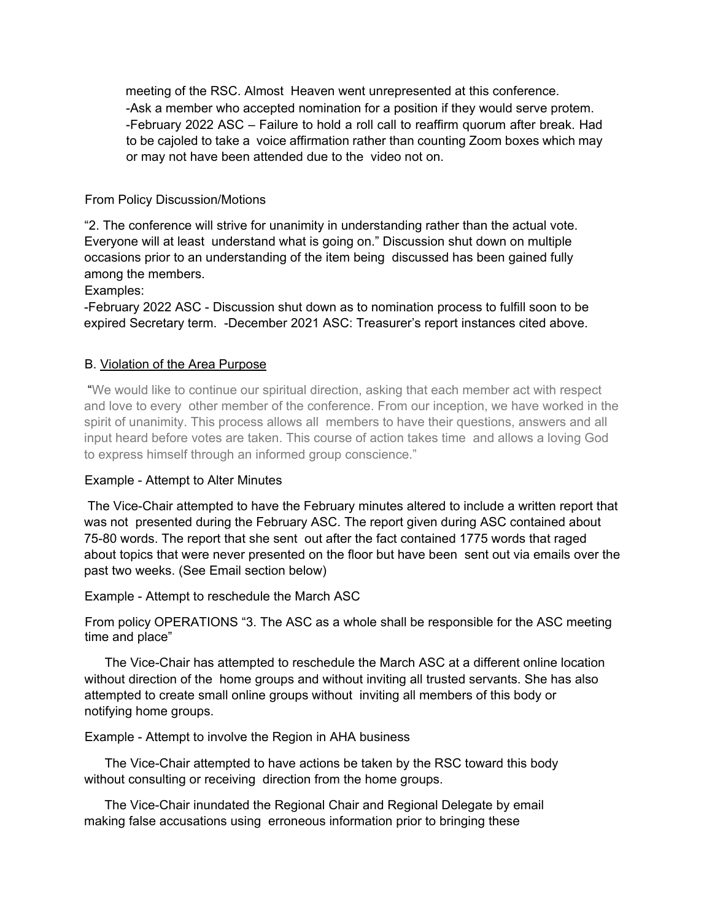meeting of the RSC. Almost Heaven went unrepresented at this conference. -Ask a member who accepted nomination for a position if they would serve protem. -February 2022 ASC – Failure to hold a roll call to reaffirm quorum after break. Had to be cajoled to take a voice affirmation rather than counting Zoom boxes which may or may not have been attended due to the video not on.

# From Policy Discussion/Motions

"2. The conference will strive for unanimity in understanding rather than the actual vote. Everyone will at least understand what is going on." Discussion shut down on multiple occasions prior to an understanding of the item being discussed has been gained fully among the members.

Examples:

-February 2022 ASC - Discussion shut down as to nomination process to fulfill soon to be expired Secretary term. -December 2021 ASC: Treasurer's report instances cited above.

# B. Violation of the Area Purpose

 "We would like to continue our spiritual direction, asking that each member act with respect and love to every other member of the conference. From our inception, we have worked in the spirit of unanimity. This process allows all members to have their questions, answers and all input heard before votes are taken. This course of action takes time and allows a loving God to express himself through an informed group conscience."

# Example - Attempt to Alter Minutes

 The Vice-Chair attempted to have the February minutes altered to include a written report that was not presented during the February ASC. The report given during ASC contained about 75-80 words. The report that she sent out after the fact contained 1775 words that raged about topics that were never presented on the floor but have been sent out via emails over the past two weeks. (See Email section below)

# Example - Attempt to reschedule the March ASC

From policy OPERATIONS "3. The ASC as a whole shall be responsible for the ASC meeting time and place"

The Vice-Chair has attempted to reschedule the March ASC at a different online location without direction of the home groups and without inviting all trusted servants. She has also attempted to create small online groups without inviting all members of this body or notifying home groups.

# Example - Attempt to involve the Region in AHA business

The Vice-Chair attempted to have actions be taken by the RSC toward this body without consulting or receiving direction from the home groups.

The Vice-Chair inundated the Regional Chair and Regional Delegate by email making false accusations using erroneous information prior to bringing these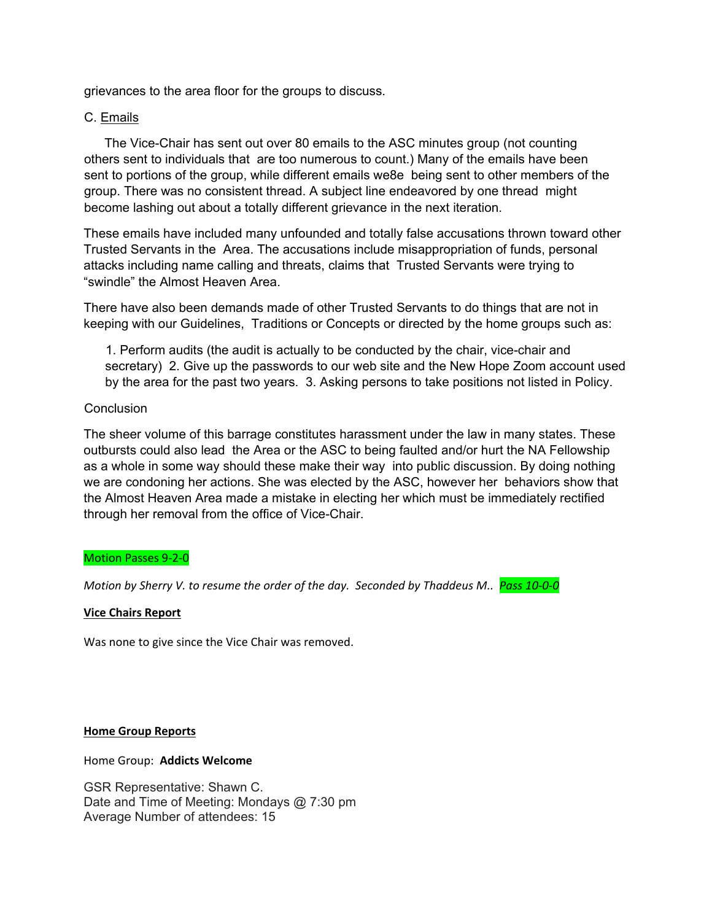grievances to the area floor for the groups to discuss.

# C. Emails

The Vice-Chair has sent out over 80 emails to the ASC minutes group (not counting others sent to individuals that are too numerous to count.) Many of the emails have been sent to portions of the group, while different emails we8e being sent to other members of the group. There was no consistent thread. A subject line endeavored by one thread might become lashing out about a totally different grievance in the next iteration.

These emails have included many unfounded and totally false accusations thrown toward other Trusted Servants in the Area. The accusations include misappropriation of funds, personal attacks including name calling and threats, claims that Trusted Servants were trying to "swindle" the Almost Heaven Area.

There have also been demands made of other Trusted Servants to do things that are not in keeping with our Guidelines, Traditions or Concepts or directed by the home groups such as:

1. Perform audits (the audit is actually to be conducted by the chair, vice-chair and secretary) 2. Give up the passwords to our web site and the New Hope Zoom account used by the area for the past two years. 3. Asking persons to take positions not listed in Policy.

# **Conclusion**

The sheer volume of this barrage constitutes harassment under the law in many states. These outbursts could also lead the Area or the ASC to being faulted and/or hurt the NA Fellowship as a whole in some way should these make their way into public discussion. By doing nothing we are condoning her actions. She was elected by the ASC, however her behaviors show that the Almost Heaven Area made a mistake in electing her which must be immediately rectified through her removal from the office of Vice-Chair.

# Motion Passes 9‐2‐0

*Motion by Sherry V. to resume the order of the day. Seconded by Thaddeus M.. Pass 10‐0‐0*

#### **Vice Chairs Report**

Was none to give since the Vice Chair was removed.

#### **Home Group Reports**

Home Group: **Addicts Welcome** 

GSR Representative: Shawn C. Date and Time of Meeting: Mondays @ 7:30 pm Average Number of attendees: 15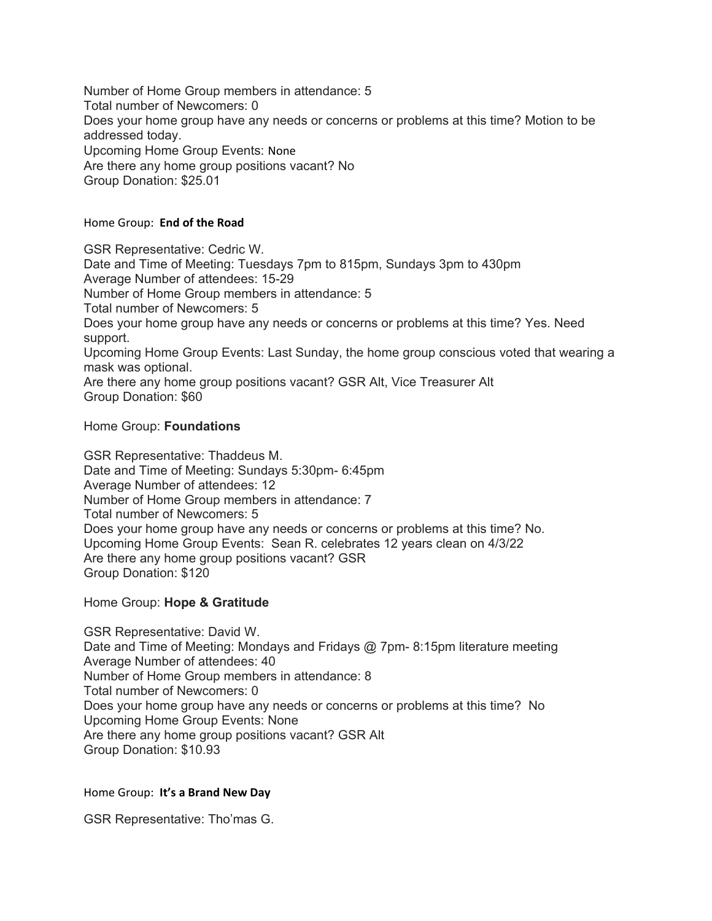Number of Home Group members in attendance: 5 Total number of Newcomers: 0 Does your home group have any needs or concerns or problems at this time? Motion to be addressed today. Upcoming Home Group Events: None Are there any home group positions vacant? No Group Donation: \$25.01

### Home Group: **End of the Road**

GSR Representative: Cedric W. Date and Time of Meeting: Tuesdays 7pm to 815pm, Sundays 3pm to 430pm Average Number of attendees: 15-29 Number of Home Group members in attendance: 5 Total number of Newcomers: 5 Does your home group have any needs or concerns or problems at this time? Yes. Need support. Upcoming Home Group Events: Last Sunday, the home group conscious voted that wearing a mask was optional. Are there any home group positions vacant? GSR Alt, Vice Treasurer Alt Group Donation: \$60

# Home Group: **Foundations**

GSR Representative: Thaddeus M. Date and Time of Meeting: Sundays 5:30pm- 6:45pm Average Number of attendees: 12 Number of Home Group members in attendance: 7 Total number of Newcomers: 5 Does your home group have any needs or concerns or problems at this time? No. Upcoming Home Group Events: Sean R. celebrates 12 years clean on 4/3/22 Are there any home group positions vacant? GSR Group Donation: \$120

# Home Group: **Hope & Gratitude**

GSR Representative: David W. Date and Time of Meeting: Mondays and Fridays @ 7pm- 8:15pm literature meeting Average Number of attendees: 40 Number of Home Group members in attendance: 8 Total number of Newcomers: 0 Does your home group have any needs or concerns or problems at this time? No Upcoming Home Group Events: None Are there any home group positions vacant? GSR Alt Group Donation: \$10.93

# Home Group: **It's a Brand New Day**

GSR Representative: Tho'mas G.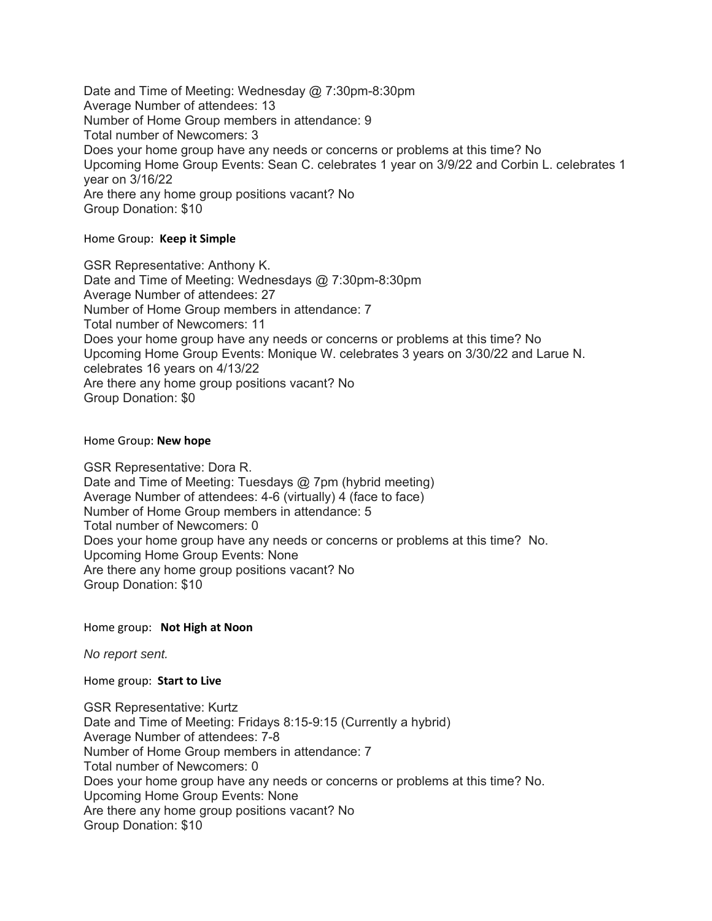Date and Time of Meeting: Wednesday @ 7:30pm-8:30pm Average Number of attendees: 13 Number of Home Group members in attendance: 9 Total number of Newcomers: 3 Does your home group have any needs or concerns or problems at this time? No Upcoming Home Group Events: Sean C. celebrates 1 year on 3/9/22 and Corbin L. celebrates 1 year on 3/16/22 Are there any home group positions vacant? No Group Donation: \$10

# Home Group: **Keep it Simple**

GSR Representative: Anthony K. Date and Time of Meeting: Wednesdays @ 7:30pm-8:30pm Average Number of attendees: 27 Number of Home Group members in attendance: 7 Total number of Newcomers: 11 Does your home group have any needs or concerns or problems at this time? No Upcoming Home Group Events: Monique W. celebrates 3 years on 3/30/22 and Larue N. celebrates 16 years on 4/13/22 Are there any home group positions vacant? No Group Donation: \$0

#### Home Group: **New hope**

GSR Representative: Dora R. Date and Time of Meeting: Tuesdays @ 7pm (hybrid meeting) Average Number of attendees: 4-6 (virtually) 4 (face to face) Number of Home Group members in attendance: 5 Total number of Newcomers: 0 Does your home group have any needs or concerns or problems at this time? No. Upcoming Home Group Events: None Are there any home group positions vacant? No Group Donation: \$10

#### Home group: **Not High at Noon**

*No report sent.*

#### Home group: **Start to Live**

GSR Representative: Kurtz Date and Time of Meeting: Fridays 8:15-9:15 (Currently a hybrid) Average Number of attendees: 7-8 Number of Home Group members in attendance: 7 Total number of Newcomers: 0 Does your home group have any needs or concerns or problems at this time? No. Upcoming Home Group Events: None Are there any home group positions vacant? No Group Donation: \$10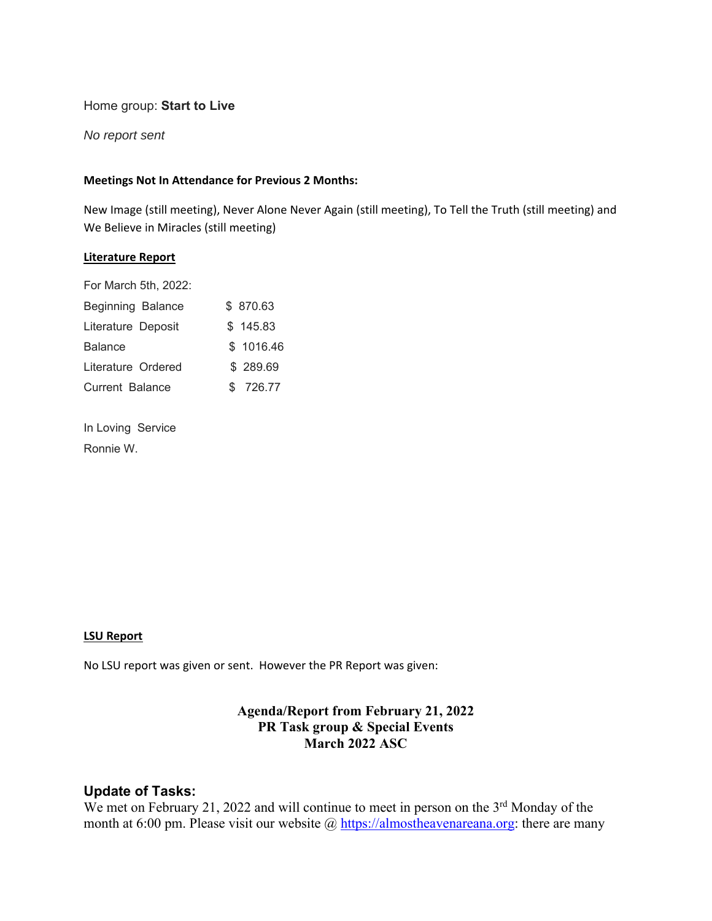# Home group: **Start to Live**

*No report sent* 

# **Meetings Not In Attendance for Previous 2 Months:**

New Image (still meeting), Never Alone Never Again (still meeting), To Tell the Truth (still meeting) and We Believe in Miracles (still meeting)

#### **Literature Report**

| \$870.63  |
|-----------|
| \$145.83  |
| \$1016.46 |
| \$289.69  |
| \$726.77  |
|           |

In Loving Service Ronnie W.

# **LSU Report**

No LSU report was given or sent. However the PR Report was given:

# **Agenda/Report from February 21, 2022 PR Task group & Special Events March 2022 ASC**

# **Update of Tasks:**

We met on February 21, 2022 and will continue to meet in person on the  $3<sup>rd</sup>$  Monday of the month at 6:00 pm. Please visit our website  $\omega$  https://almostheavenareana.org: there are many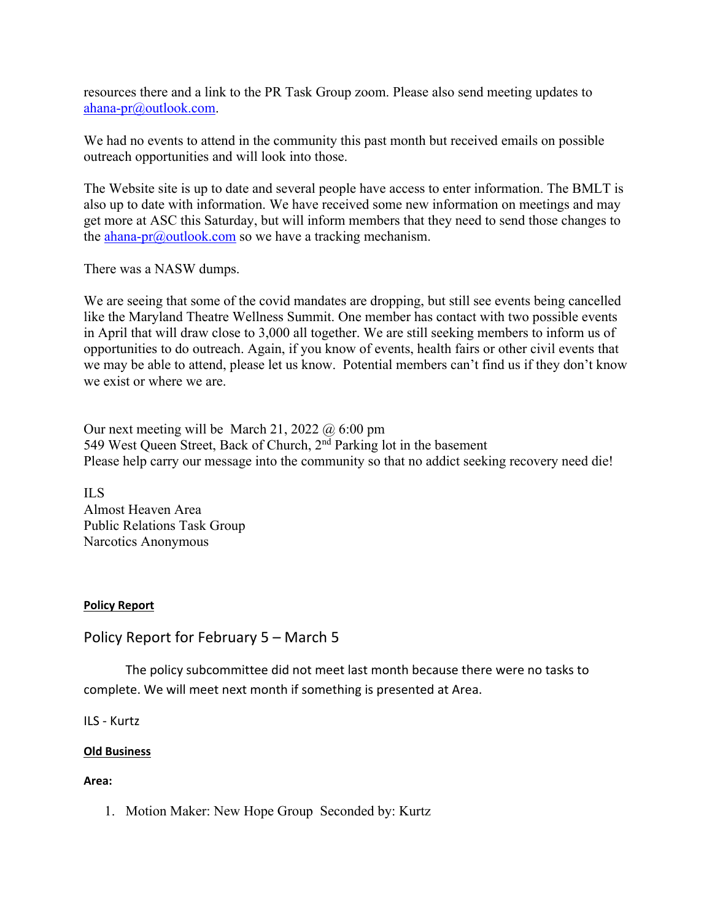resources there and a link to the PR Task Group zoom. Please also send meeting updates to ahana-pr@outlook.com.

We had no events to attend in the community this past month but received emails on possible outreach opportunities and will look into those.

The Website site is up to date and several people have access to enter information. The BMLT is also up to date with information. We have received some new information on meetings and may get more at ASC this Saturday, but will inform members that they need to send those changes to the ahana-pr $\omega$ outlook.com so we have a tracking mechanism.

There was a NASW dumps.

We are seeing that some of the covid mandates are dropping, but still see events being cancelled like the Maryland Theatre Wellness Summit. One member has contact with two possible events in April that will draw close to 3,000 all together. We are still seeking members to inform us of opportunities to do outreach. Again, if you know of events, health fairs or other civil events that we may be able to attend, please let us know. Potential members can't find us if they don't know we exist or where we are.

Our next meeting will be March 21, 2022  $\omega$  6:00 pm 549 West Queen Street, Back of Church, 2<sup>nd</sup> Parking lot in the basement Please help carry our message into the community so that no addict seeking recovery need die!

ILS Almost Heaven Area Public Relations Task Group Narcotics Anonymous

# **Policy Report**

Policy Report for February 5 – March 5

 The policy subcommittee did not meet last month because there were no tasks to complete. We will meet next month if something is presented at Area.

ILS ‐ Kurtz

# **Old Business**

# **Area:**

1. Motion Maker: New Hope Group Seconded by: Kurtz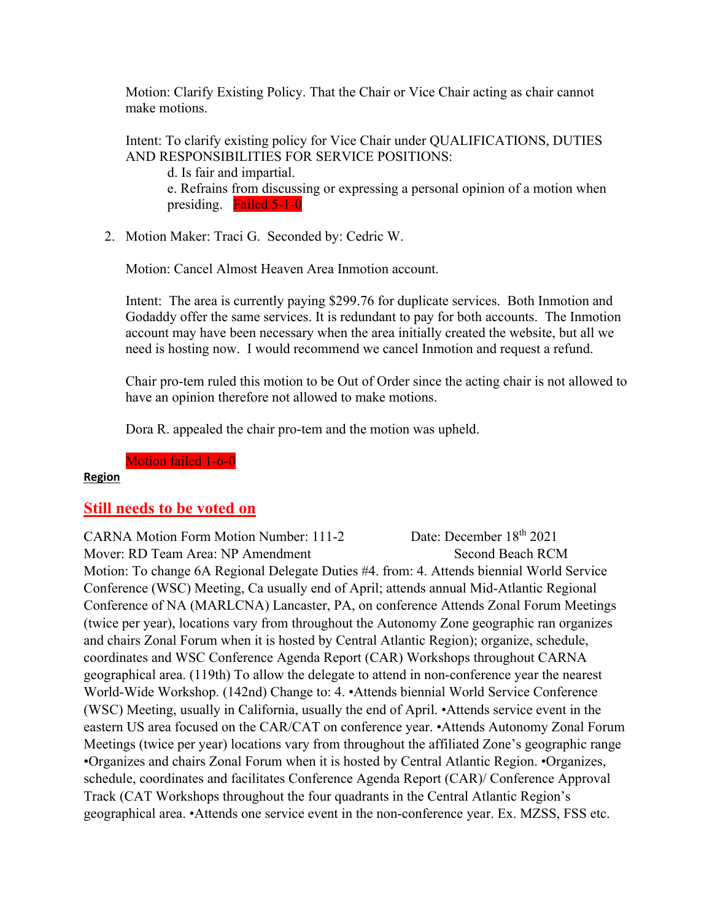Motion: Clarify Existing Policy. That the Chair or Vice Chair acting as chair cannot make motions.

Intent: To clarify existing policy for Vice Chair under QUALIFICATIONS, DUTIES AND RESPONSIBILITIES FOR SERVICE POSITIONS:

d. Is fair and impartial. e. Refrains from discussing or expressing a personal opinion of a motion when presiding. Failed 5-1-0

2. Motion Maker: Traci G. Seconded by: Cedric W.

Motion: Cancel Almost Heaven Area Inmotion account.

Intent: The area is currently paying \$299.76 for duplicate services. Both Inmotion and Godaddy offer the same services. It is redundant to pay for both accounts. The Inmotion account may have been necessary when the area initially created the website, but all we need is hosting now. I would recommend we cancel Inmotion and request a refund.

Chair pro-tem ruled this motion to be Out of Order since the acting chair is not allowed to have an opinion therefore not allowed to make motions.

Dora R. appealed the chair pro-tem and the motion was upheld.

Motion failed 1-6-0

# **Region**

# **Still needs to be voted on**

CARNA Motion Form Motion Number: 111-2 Date: December 18th 2021 Mover: RD Team Area: NP Amendment Second Beach RCM Motion: To change 6A Regional Delegate Duties #4. from: 4. Attends biennial World Service Conference (WSC) Meeting, Ca usually end of April; attends annual Mid-Atlantic Regional Conference of NA (MARLCNA) Lancaster, PA, on conference Attends Zonal Forum Meetings (twice per year), locations vary from throughout the Autonomy Zone geographic ran organizes and chairs Zonal Forum when it is hosted by Central Atlantic Region); organize, schedule, coordinates and WSC Conference Agenda Report (CAR) Workshops throughout CARNA geographical area. (119th) To allow the delegate to attend in non-conference year the nearest World-Wide Workshop. (142nd) Change to: 4. •Attends biennial World Service Conference (WSC) Meeting, usually in California, usually the end of April. •Attends service event in the eastern US area focused on the CAR/CAT on conference year. •Attends Autonomy Zonal Forum Meetings (twice per year) locations vary from throughout the affiliated Zone's geographic range •Organizes and chairs Zonal Forum when it is hosted by Central Atlantic Region. •Organizes, schedule, coordinates and facilitates Conference Agenda Report (CAR)/ Conference Approval Track (CAT Workshops throughout the four quadrants in the Central Atlantic Region's geographical area. •Attends one service event in the non-conference year. Ex. MZSS, FSS etc.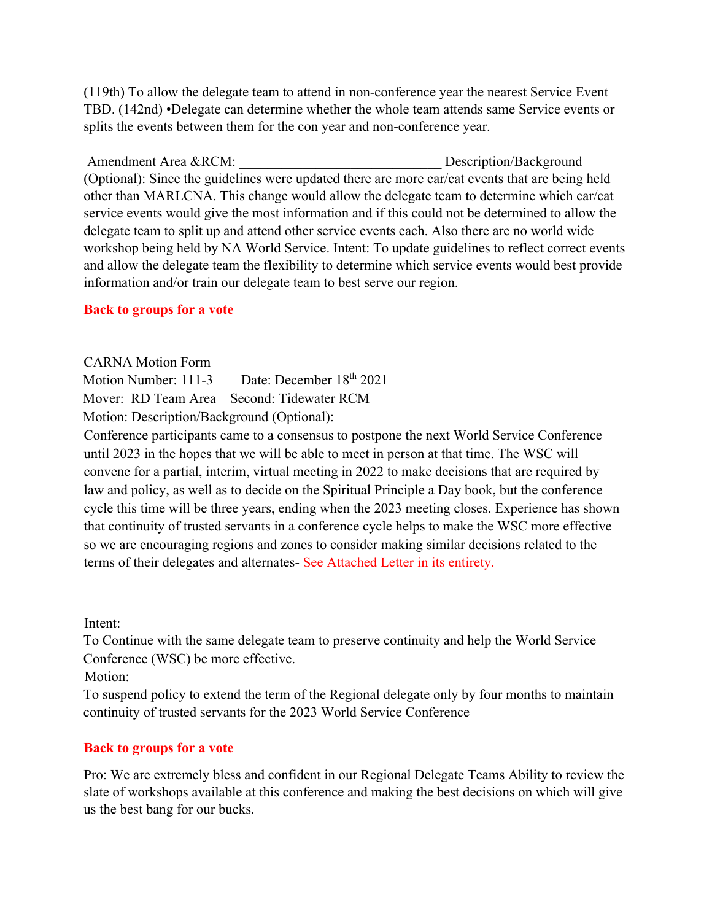(119th) To allow the delegate team to attend in non-conference year the nearest Service Event TBD. (142nd) •Delegate can determine whether the whole team attends same Service events or splits the events between them for the con year and non-conference year.

Amendment Area &RCM:  $Description/Background$ (Optional): Since the guidelines were updated there are more car/cat events that are being held other than MARLCNA. This change would allow the delegate team to determine which car/cat service events would give the most information and if this could not be determined to allow the delegate team to split up and attend other service events each. Also there are no world wide workshop being held by NA World Service. Intent: To update guidelines to reflect correct events and allow the delegate team the flexibility to determine which service events would best provide information and/or train our delegate team to best serve our region.

# **Back to groups for a vote**

CARNA Motion Form

Motion Number: 111-3 Date: December 18<sup>th</sup> 2021

Mover: RD Team Area Second: Tidewater RCM

Motion: Description/Background (Optional):

Conference participants came to a consensus to postpone the next World Service Conference until 2023 in the hopes that we will be able to meet in person at that time. The WSC will convene for a partial, interim, virtual meeting in 2022 to make decisions that are required by law and policy, as well as to decide on the Spiritual Principle a Day book, but the conference cycle this time will be three years, ending when the 2023 meeting closes. Experience has shown that continuity of trusted servants in a conference cycle helps to make the WSC more effective so we are encouraging regions and zones to consider making similar decisions related to the terms of their delegates and alternates- See Attached Letter in its entirety.

Intent:

To Continue with the same delegate team to preserve continuity and help the World Service Conference (WSC) be more effective.

Motion:

To suspend policy to extend the term of the Regional delegate only by four months to maintain continuity of trusted servants for the 2023 World Service Conference

# **Back to groups for a vote**

Pro: We are extremely bless and confident in our Regional Delegate Teams Ability to review the slate of workshops available at this conference and making the best decisions on which will give us the best bang for our bucks.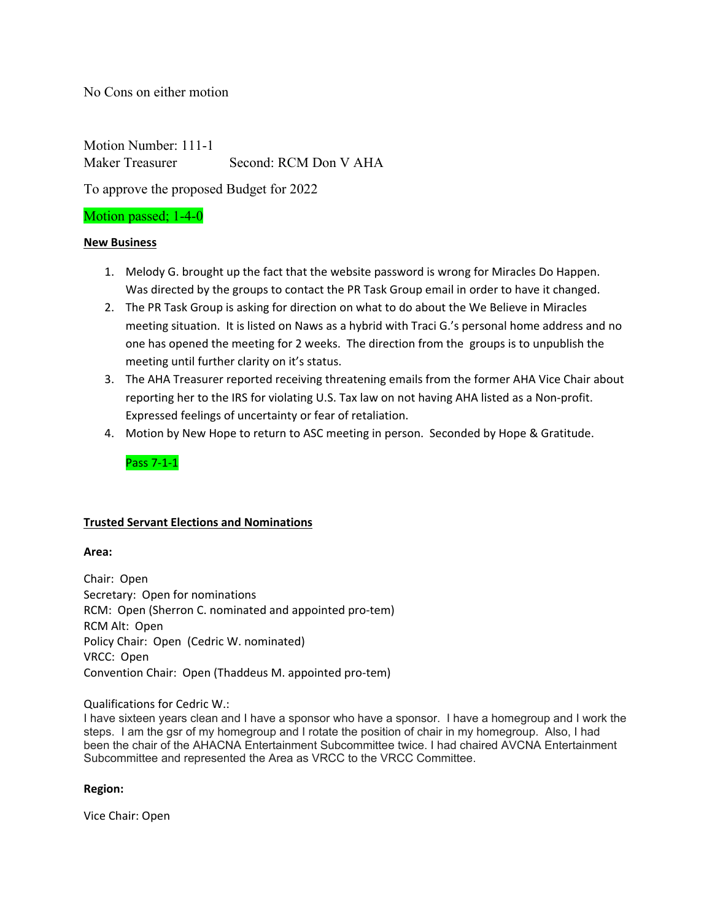No Cons on either motion

Motion Number: 111-1 Maker Treasurer Second: RCM Don V AHA

To approve the proposed Budget for 2022

# Motion passed; 1-4-0

# **New Business**

- 1. Melody G. brought up the fact that the website password is wrong for Miracles Do Happen. Was directed by the groups to contact the PR Task Group email in order to have it changed.
- 2. The PR Task Group is asking for direction on what to do about the We Believe in Miracles meeting situation. It is listed on Naws as a hybrid with Traci G.'s personal home address and no one has opened the meeting for 2 weeks. The direction from the groups is to unpublish the meeting until further clarity on it's status.
- 3. The AHA Treasurer reported receiving threatening emails from the former AHA Vice Chair about reporting her to the IRS for violating U.S. Tax law on not having AHA listed as a Non-profit. Expressed feelings of uncertainty or fear of retaliation.
- 4. Motion by New Hope to return to ASC meeting in person. Seconded by Hope & Gratitude.

Pass 7‐1‐1

# **Trusted Servant Elections and Nominations**

#### **Area:**

Chair: Open Secretary: Open for nominations RCM: Open (Sherron C. nominated and appointed pro‐tem) RCM Alt: Open Policy Chair: Open (Cedric W. nominated) VRCC: Open Convention Chair: Open (Thaddeus M. appointed pro‐tem)

#### Qualifications for Cedric W.:

I have sixteen years clean and I have a sponsor who have a sponsor. I have a homegroup and I work the steps. I am the gsr of my homegroup and I rotate the position of chair in my homegroup. Also, I had been the chair of the AHACNA Entertainment Subcommittee twice. I had chaired AVCNA Entertainment Subcommittee and represented the Area as VRCC to the VRCC Committee.

# **Region:**

Vice Chair: Open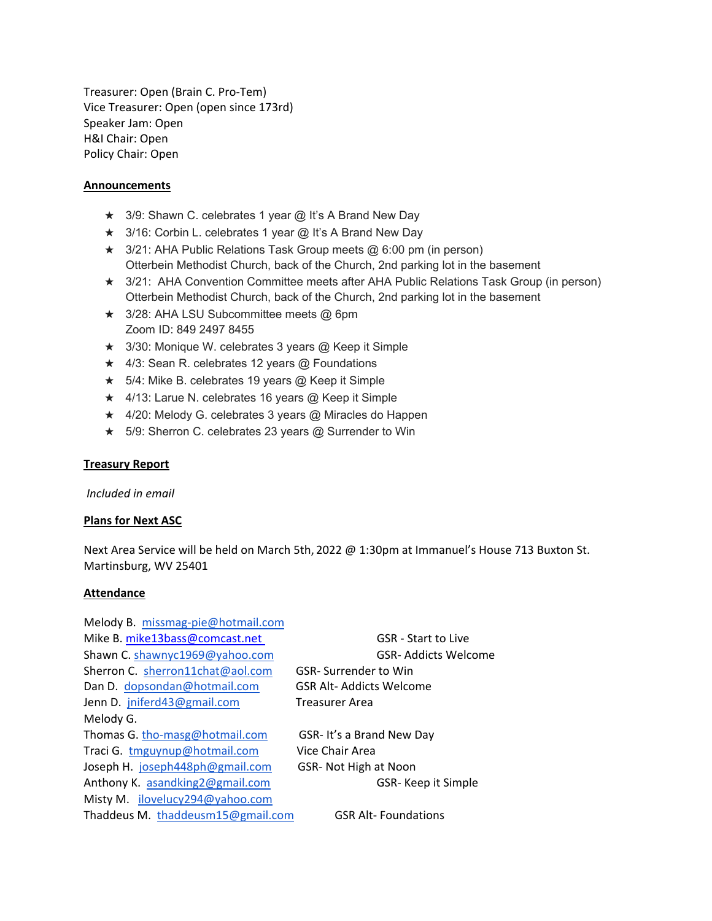Treasurer: Open (Brain C. Pro‐Tem) Vice Treasurer: Open (open since 173rd) Speaker Jam: Open H&I Chair: Open Policy Chair: Open

### **Announcements**

- ★ 3/9: Shawn C. celebrates 1 year @ It's A Brand New Day
- ★ 3/16: Corbin L. celebrates 1 year @ It's A Brand New Day
- ★ 3/21: AHA Public Relations Task Group meets @ 6:00 pm (in person) Otterbein Methodist Church, back of the Church, 2nd parking lot in the basement
- ★ 3/21: AHA Convention Committee meets after AHA Public Relations Task Group (in person) Otterbein Methodist Church, back of the Church, 2nd parking lot in the basement
- ★ 3/28: AHA LSU Subcommittee meets @ 6pm Zoom ID: 849 2497 8455
- $\star$  3/30: Monique W. celebrates 3 years @ Keep it Simple
- ★ 4/3: Sean R. celebrates 12 years @ Foundations
- ★ 5/4: Mike B. celebrates 19 years @ Keep it Simple
- $\star$  4/13: Larue N. celebrates 16 years @ Keep it Simple
- ★ 4/20: Melody G. celebrates 3 years @ Miracles do Happen
- $\star$  5/9: Sherron C. celebrates 23 years @ Surrender to Win

#### **Treasury Report**

*Included in email* 

#### **Plans for Next ASC**

Next Area Service will be held on March 5th, 2022 @ 1:30pm at Immanuel's House 713 Buxton St. Martinsburg, WV 25401

#### **Attendance**

| <b>GSR</b> - Start to Live  |
|-----------------------------|
| <b>GSR-Addicts Welcome</b>  |
| <b>GSR-Surrender to Win</b> |
| GSR Alt-Addicts Welcome     |
| Treasurer Area              |
|                             |
| GSR- It's a Brand New Day   |
| Vice Chair Area             |
| GSR- Not High at Noon       |
| GSR-Keep it Simple          |
|                             |
| <b>GSR Alt-Foundations</b>  |
|                             |